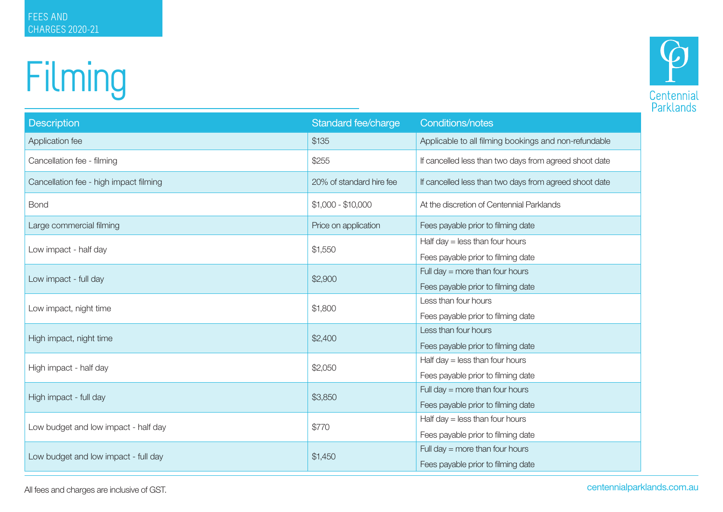## Filming



| <b>Description</b>                     | Standard fee/charge      | <b>Conditions/notes</b>                                |
|----------------------------------------|--------------------------|--------------------------------------------------------|
| Application fee                        | \$135                    | Applicable to all filming bookings and non-refundable  |
| Cancellation fee - filming             | \$255                    | If cancelled less than two days from agreed shoot date |
| Cancellation fee - high impact filming | 20% of standard hire fee | If cancelled less than two days from agreed shoot date |
| <b>Bond</b>                            | $$1,000 - $10,000$       | At the discretion of Centennial Parklands              |
| Large commercial filming               | Price on application     | Fees payable prior to filming date                     |
| Low impact - half day                  | \$1,550                  | Half day $=$ less than four hours                      |
|                                        |                          | Fees payable prior to filming date                     |
| Low impact - full day                  | \$2,900                  | Full day $=$ more than four hours                      |
|                                        |                          | Fees payable prior to filming date                     |
| Low impact, night time                 | \$1,800                  | Less than four hours                                   |
|                                        |                          | Fees payable prior to filming date                     |
| High impact, night time                | \$2,400                  | Less than four hours                                   |
|                                        |                          | Fees payable prior to filming date                     |
| High impact - half day                 | \$2,050                  | Half day $=$ less than four hours                      |
|                                        |                          | Fees payable prior to filming date                     |
| High impact - full day                 | \$3,850                  | Full day $=$ more than four hours                      |
|                                        |                          | Fees payable prior to filming date                     |
| Low budget and low impact - half day   | \$770                    | Half day $=$ less than four hours                      |
|                                        |                          | Fees payable prior to filming date                     |
| Low budget and low impact - full day   | \$1,450                  | Full day $=$ more than four hours                      |
|                                        |                          | Fees payable prior to filming date                     |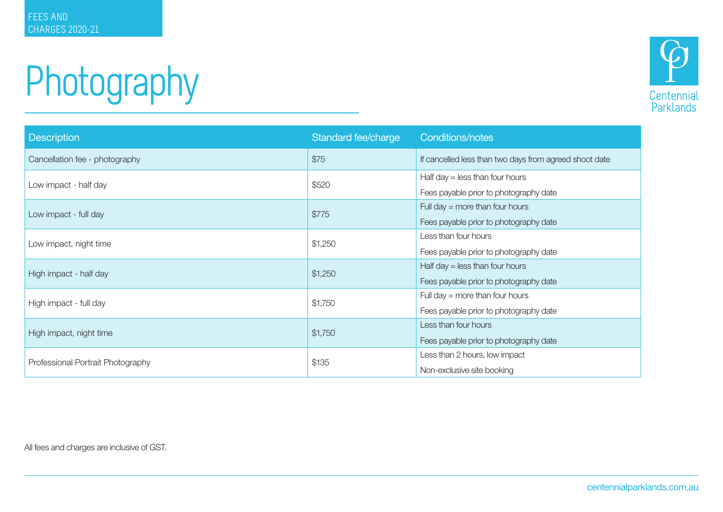## Photography



| <b>Description</b>                | Standard fee/charge | <b>Conditions/notes</b>                                |
|-----------------------------------|---------------------|--------------------------------------------------------|
| Cancellation fee - photography    | \$75                | If cancelled less than two days from agreed shoot date |
| Low impact - half day             | \$520               | Half day $=$ less than four hours                      |
|                                   |                     | Fees payable prior to photography date                 |
| Low impact - full day             | \$775               | Full day $=$ more than four hours                      |
|                                   |                     | Fees payable prior to photography date                 |
| Low impact, night time            | \$1,250             | Less than four hours                                   |
|                                   |                     | Fees payable prior to photography date                 |
| High impact - half day            | \$1,250             | Half day $=$ less than four hours                      |
|                                   |                     | Fees payable prior to photography date                 |
| High impact - full day            | \$1,750             | Full day $=$ more than four hours                      |
|                                   |                     | Fees payable prior to photography date                 |
| High impact, night time           | \$1,750             | Less than four hours                                   |
|                                   |                     | Fees payable prior to photography date                 |
| Professional Portrait Photography | \$135               | Less than 2 hours, low impact                          |
|                                   |                     | Non-exclusive site booking                             |

All fees and charges are inclusive of GST.